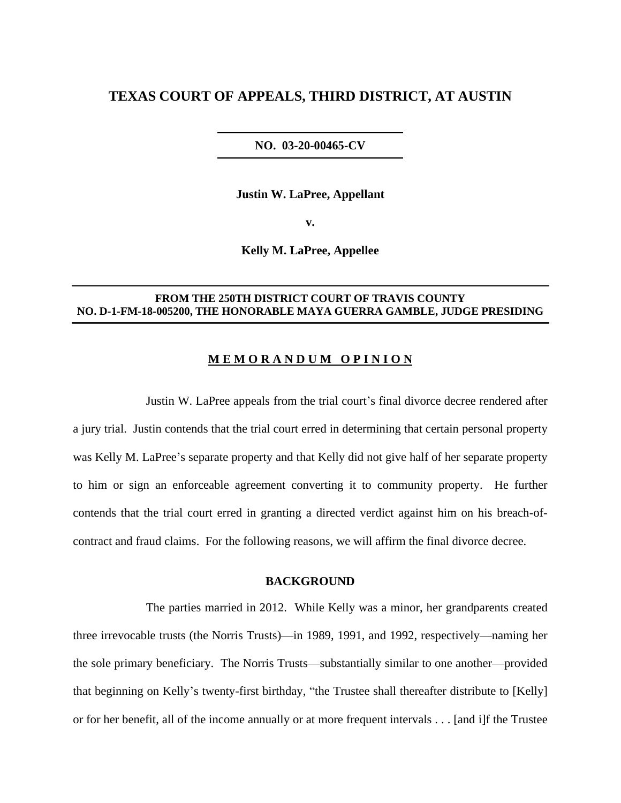# **TEXAS COURT OF APPEALS, THIRD DISTRICT, AT AUSTIN**

#### **NO. 03-20-00465-CV**

**Justin W. LaPree, Appellant**

**v.**

**Kelly M. LaPree, Appellee**

#### **FROM THE 250TH DISTRICT COURT OF TRAVIS COUNTY NO. D-1-FM-18-005200, THE HONORABLE MAYA GUERRA GAMBLE, JUDGE PRESIDING**

### **M E M O R A N D U M O P I N I O N**

Justin W. LaPree appeals from the trial court's final divorce decree rendered after a jury trial. Justin contends that the trial court erred in determining that certain personal property was Kelly M. LaPree's separate property and that Kelly did not give half of her separate property to him or sign an enforceable agreement converting it to community property. He further contends that the trial court erred in granting a directed verdict against him on his breach-ofcontract and fraud claims. For the following reasons, we will affirm the final divorce decree.

#### **BACKGROUND**

The parties married in 2012. While Kelly was a minor, her grandparents created three irrevocable trusts (the Norris Trusts)—in 1989, 1991, and 1992, respectively—naming her the sole primary beneficiary. The Norris Trusts—substantially similar to one another—provided that beginning on Kelly's twenty-first birthday, "the Trustee shall thereafter distribute to [Kelly] or for her benefit, all of the income annually or at more frequent intervals . . . [and i]f the Trustee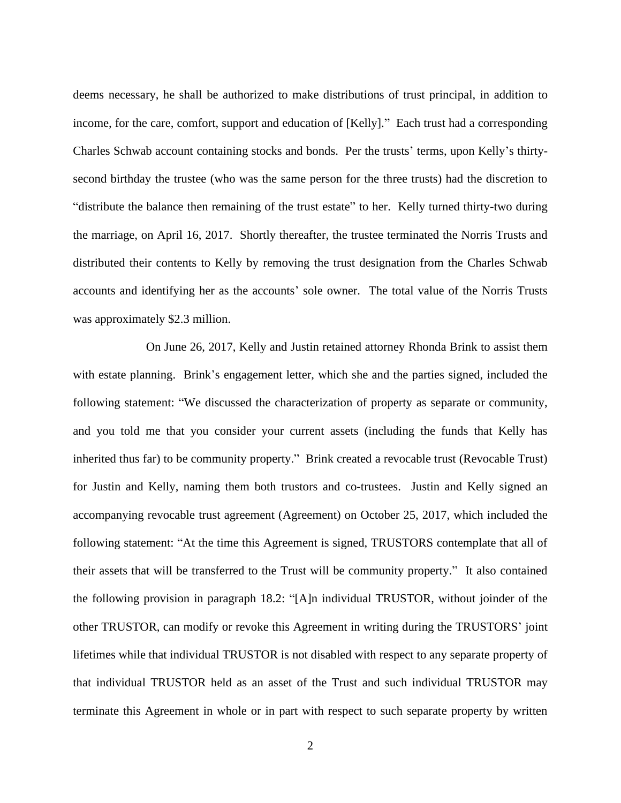deems necessary, he shall be authorized to make distributions of trust principal, in addition to income, for the care, comfort, support and education of [Kelly]." Each trust had a corresponding Charles Schwab account containing stocks and bonds. Per the trusts' terms, upon Kelly's thirtysecond birthday the trustee (who was the same person for the three trusts) had the discretion to "distribute the balance then remaining of the trust estate" to her. Kelly turned thirty-two during the marriage, on April 16, 2017. Shortly thereafter, the trustee terminated the Norris Trusts and distributed their contents to Kelly by removing the trust designation from the Charles Schwab accounts and identifying her as the accounts' sole owner. The total value of the Norris Trusts was approximately \$2.3 million.

On June 26, 2017, Kelly and Justin retained attorney Rhonda Brink to assist them with estate planning. Brink's engagement letter, which she and the parties signed, included the following statement: "We discussed the characterization of property as separate or community, and you told me that you consider your current assets (including the funds that Kelly has inherited thus far) to be community property." Brink created a revocable trust (Revocable Trust) for Justin and Kelly, naming them both trustors and co-trustees. Justin and Kelly signed an accompanying revocable trust agreement (Agreement) on October 25, 2017, which included the following statement: "At the time this Agreement is signed, TRUSTORS contemplate that all of their assets that will be transferred to the Trust will be community property." It also contained the following provision in paragraph 18.2: "[A]n individual TRUSTOR, without joinder of the other TRUSTOR, can modify or revoke this Agreement in writing during the TRUSTORS' joint lifetimes while that individual TRUSTOR is not disabled with respect to any separate property of that individual TRUSTOR held as an asset of the Trust and such individual TRUSTOR may terminate this Agreement in whole or in part with respect to such separate property by written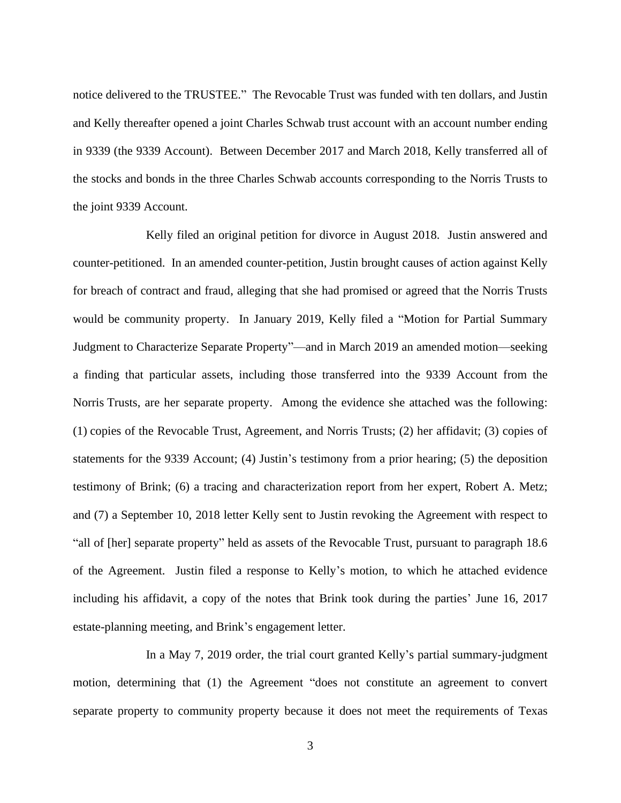notice delivered to the TRUSTEE." The Revocable Trust was funded with ten dollars, and Justin and Kelly thereafter opened a joint Charles Schwab trust account with an account number ending in 9339 (the 9339 Account). Between December 2017 and March 2018, Kelly transferred all of the stocks and bonds in the three Charles Schwab accounts corresponding to the Norris Trusts to the joint 9339 Account.

Kelly filed an original petition for divorce in August 2018. Justin answered and counter-petitioned. In an amended counter-petition, Justin brought causes of action against Kelly for breach of contract and fraud, alleging that she had promised or agreed that the Norris Trusts would be community property. In January 2019, Kelly filed a "Motion for Partial Summary Judgment to Characterize Separate Property"—and in March 2019 an amended motion—seeking a finding that particular assets, including those transferred into the 9339 Account from the Norris Trusts, are her separate property. Among the evidence she attached was the following: (1) copies of the Revocable Trust, Agreement, and Norris Trusts; (2) her affidavit; (3) copies of statements for the 9339 Account; (4) Justin's testimony from a prior hearing; (5) the deposition testimony of Brink; (6) a tracing and characterization report from her expert, Robert A. Metz; and (7) a September 10, 2018 letter Kelly sent to Justin revoking the Agreement with respect to "all of [her] separate property" held as assets of the Revocable Trust, pursuant to paragraph 18.6 of the Agreement. Justin filed a response to Kelly's motion, to which he attached evidence including his affidavit, a copy of the notes that Brink took during the parties' June 16, 2017 estate-planning meeting, and Brink's engagement letter.

In a May 7, 2019 order, the trial court granted Kelly's partial summary-judgment motion, determining that (1) the Agreement "does not constitute an agreement to convert separate property to community property because it does not meet the requirements of Texas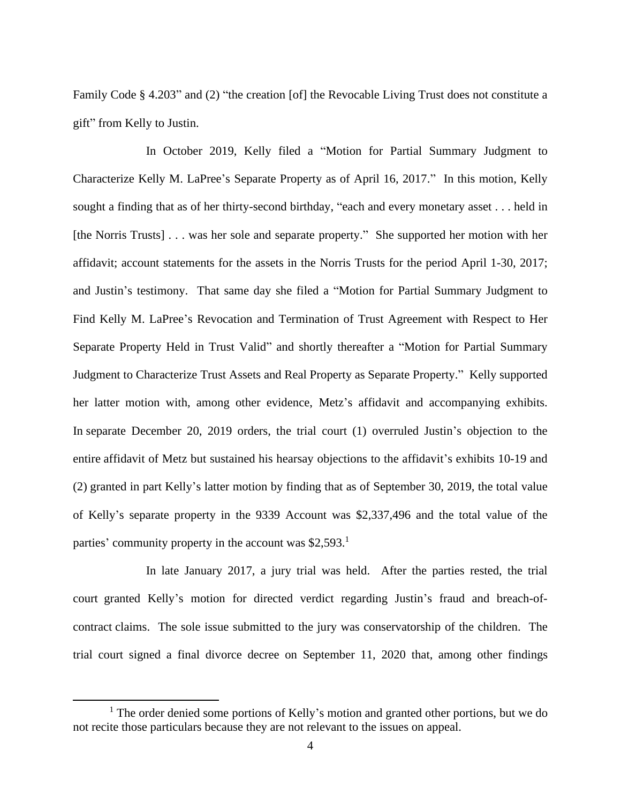Family Code § 4.203" and (2) "the creation [of] the Revocable Living Trust does not constitute a gift" from Kelly to Justin.

In October 2019, Kelly filed a "Motion for Partial Summary Judgment to Characterize Kelly M. LaPree's Separate Property as of April 16, 2017." In this motion, Kelly sought a finding that as of her thirty-second birthday, "each and every monetary asset . . . held in [the Norris Trusts] . . . was her sole and separate property." She supported her motion with her affidavit; account statements for the assets in the Norris Trusts for the period April 1-30, 2017; and Justin's testimony. That same day she filed a "Motion for Partial Summary Judgment to Find Kelly M. LaPree's Revocation and Termination of Trust Agreement with Respect to Her Separate Property Held in Trust Valid" and shortly thereafter a "Motion for Partial Summary Judgment to Characterize Trust Assets and Real Property as Separate Property." Kelly supported her latter motion with, among other evidence, Metz's affidavit and accompanying exhibits. In separate December 20, 2019 orders, the trial court (1) overruled Justin's objection to the entire affidavit of Metz but sustained his hearsay objections to the affidavit's exhibits 10-19 and (2) granted in part Kelly's latter motion by finding that as of September 30, 2019, the total value of Kelly's separate property in the 9339 Account was \$2,337,496 and the total value of the parties' community property in the account was \$2,593.<sup>1</sup>

In late January 2017, a jury trial was held. After the parties rested, the trial court granted Kelly's motion for directed verdict regarding Justin's fraud and breach-ofcontract claims. The sole issue submitted to the jury was conservatorship of the children. The trial court signed a final divorce decree on September 11, 2020 that, among other findings

<sup>&</sup>lt;sup>1</sup> The order denied some portions of Kelly's motion and granted other portions, but we do not recite those particulars because they are not relevant to the issues on appeal.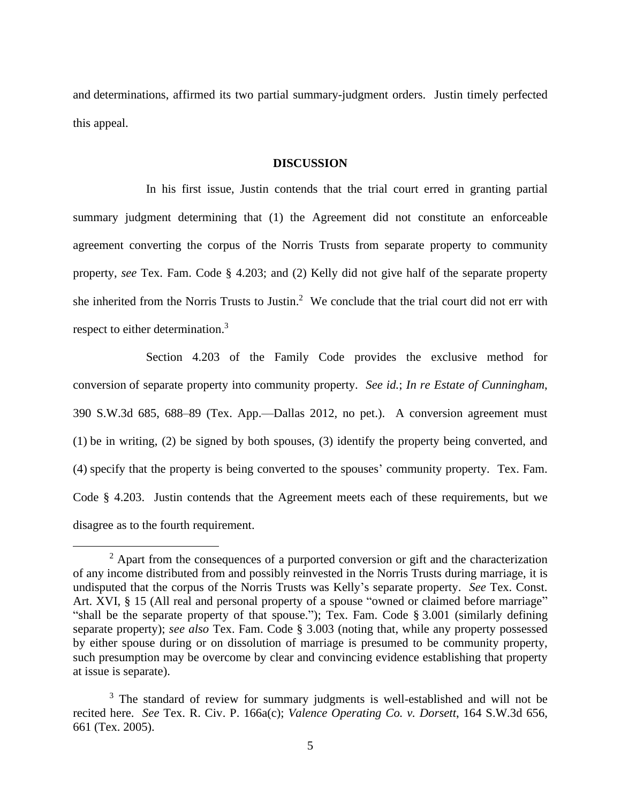and determinations, affirmed its two partial summary-judgment orders. Justin timely perfected this appeal.

#### **DISCUSSION**

In his first issue, Justin contends that the trial court erred in granting partial summary judgment determining that (1) the Agreement did not constitute an enforceable agreement converting the corpus of the Norris Trusts from separate property to community property, *see* Tex. Fam. Code § 4.203; and (2) Kelly did not give half of the separate property she inherited from the Norris Trusts to Justin.<sup>2</sup> We conclude that the trial court did not err with respect to either determination.<sup>3</sup>

Section 4.203 of the Family Code provides the exclusive method for conversion of separate property into community property. *See id.*; *In re Estate of Cunningham*, 390 S.W.3d 685, 688–89 (Tex. App.—Dallas 2012, no pet.). A conversion agreement must (1) be in writing, (2) be signed by both spouses, (3) identify the property being converted, and (4) specify that the property is being converted to the spouses' community property. Tex. Fam. Code § 4.203. Justin contends that the Agreement meets each of these requirements, but we disagree as to the fourth requirement.

 $2$  Apart from the consequences of a purported conversion or gift and the characterization of any income distributed from and possibly reinvested in the Norris Trusts during marriage, it is undisputed that the corpus of the Norris Trusts was Kelly's separate property. *See* Tex. Const. Art. XVI, § 15 (All real and personal property of a spouse "owned or claimed before marriage" "shall be the separate property of that spouse."); Tex. Fam. Code § 3.001 (similarly defining separate property); *see also* Tex. Fam. Code § 3.003 (noting that, while any property possessed by either spouse during or on dissolution of marriage is presumed to be community property, such presumption may be overcome by clear and convincing evidence establishing that property at issue is separate).

<sup>&</sup>lt;sup>3</sup> The standard of review for summary judgments is well-established and will not be recited here. *See* Tex. R. Civ. P. 166a(c); *Valence Operating Co. v. Dorsett*, 164 S.W.3d 656, 661 (Tex. 2005).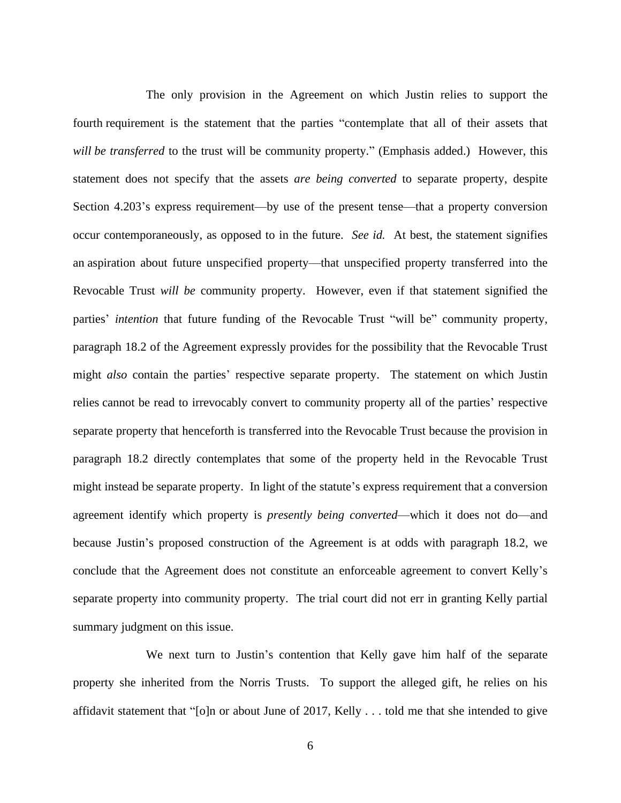The only provision in the Agreement on which Justin relies to support the fourth requirement is the statement that the parties "contemplate that all of their assets that *will be transferred* to the trust will be community property." (Emphasis added.) However, this statement does not specify that the assets *are being converted* to separate property, despite Section 4.203's express requirement—by use of the present tense—that a property conversion occur contemporaneously, as opposed to in the future. *See id.* At best, the statement signifies an aspiration about future unspecified property—that unspecified property transferred into the Revocable Trust *will be* community property. However, even if that statement signified the parties' *intention* that future funding of the Revocable Trust "will be" community property, paragraph 18.2 of the Agreement expressly provides for the possibility that the Revocable Trust might *also* contain the parties' respective separate property. The statement on which Justin relies cannot be read to irrevocably convert to community property all of the parties' respective separate property that henceforth is transferred into the Revocable Trust because the provision in paragraph 18.2 directly contemplates that some of the property held in the Revocable Trust might instead be separate property. In light of the statute's express requirement that a conversion agreement identify which property is *presently being converted*—which it does not do—and because Justin's proposed construction of the Agreement is at odds with paragraph 18.2, we conclude that the Agreement does not constitute an enforceable agreement to convert Kelly's separate property into community property. The trial court did not err in granting Kelly partial summary judgment on this issue.

We next turn to Justin's contention that Kelly gave him half of the separate property she inherited from the Norris Trusts. To support the alleged gift, he relies on his affidavit statement that "[o]n or about June of 2017, Kelly . . . told me that she intended to give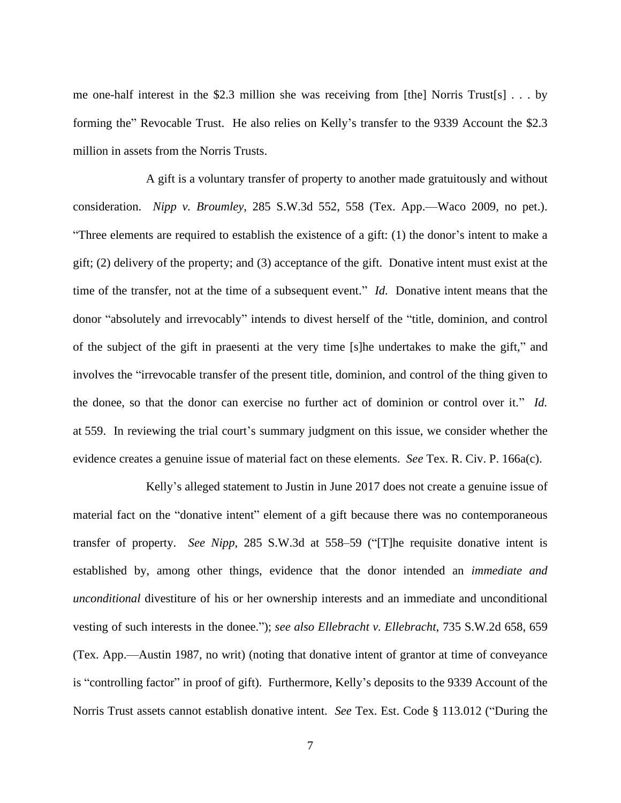me one-half interest in the \$2.3 million she was receiving from [the] Norris Trust[s] . . . by forming the" Revocable Trust. He also relies on Kelly's transfer to the 9339 Account the \$2.3 million in assets from the Norris Trusts.

A gift is a voluntary transfer of property to another made gratuitously and without consideration. *Nipp v. Broumley*, 285 S.W.3d 552, 558 (Tex. App.—Waco 2009, no pet.). "Three elements are required to establish the existence of a gift: (1) the donor's intent to make a gift; (2) delivery of the property; and (3) acceptance of the gift. Donative intent must exist at the time of the transfer, not at the time of a subsequent event." *Id.* Donative intent means that the donor "absolutely and irrevocably" intends to divest herself of the "title, dominion, and control of the subject of the gift in praesenti at the very time [s]he undertakes to make the gift," and involves the "irrevocable transfer of the present title, dominion, and control of the thing given to the donee, so that the donor can exercise no further act of dominion or control over it." *Id.* at 559. In reviewing the trial court's summary judgment on this issue, we consider whether the evidence creates a genuine issue of material fact on these elements. *See* Tex. R. Civ. P. 166a(c).

Kelly's alleged statement to Justin in June 2017 does not create a genuine issue of material fact on the "donative intent" element of a gift because there was no contemporaneous transfer of property. *See Nipp*, 285 S.W.3d at 558–59 ("[T]he requisite donative intent is established by, among other things, evidence that the donor intended an *immediate and unconditional* divestiture of his or her ownership interests and an immediate and unconditional vesting of such interests in the donee."); *see also Ellebracht v. Ellebracht*, 735 S.W.2d 658, 659 (Tex. App.—Austin 1987, no writ) (noting that donative intent of grantor at time of conveyance is "controlling factor" in proof of gift). Furthermore, Kelly's deposits to the 9339 Account of the Norris Trust assets cannot establish donative intent. *See* Tex. Est. Code § 113.012 ("During the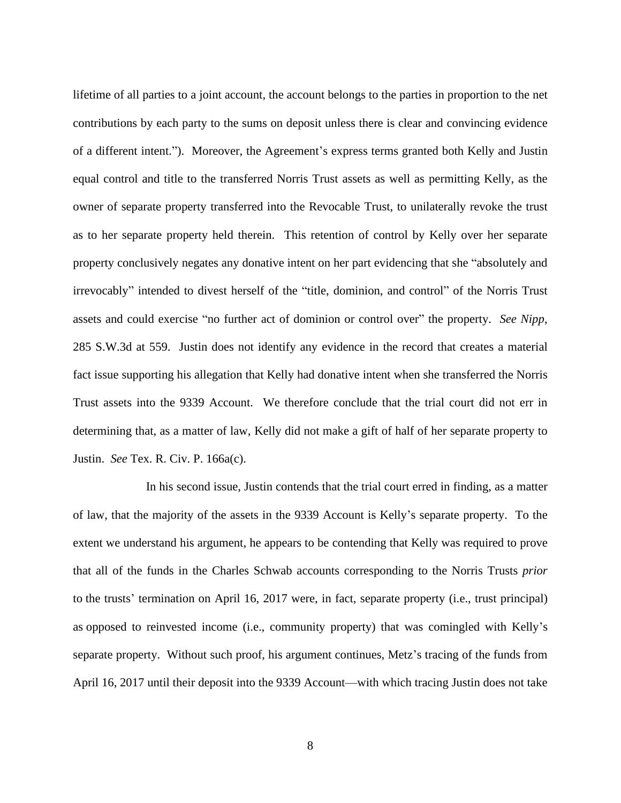lifetime of all parties to a joint account, the account belongs to the parties in proportion to the net contributions by each party to the sums on deposit unless there is clear and convincing evidence of a different intent."). Moreover, the Agreement's express terms granted both Kelly and Justin equal control and title to the transferred Norris Trust assets as well as permitting Kelly, as the owner of separate property transferred into the Revocable Trust, to unilaterally revoke the trust as to her separate property held therein. This retention of control by Kelly over her separate property conclusively negates any donative intent on her part evidencing that she "absolutely and irrevocably" intended to divest herself of the "title, dominion, and control" of the Norris Trust assets and could exercise "no further act of dominion or control over" the property. *See Nipp*, 285 S.W.3d at 559. Justin does not identify any evidence in the record that creates a material fact issue supporting his allegation that Kelly had donative intent when she transferred the Norris Trust assets into the 9339 Account. We therefore conclude that the trial court did not err in determining that, as a matter of law, Kelly did not make a gift of half of her separate property to Justin. *See* Tex. R. Civ. P. 166a(c).

In his second issue, Justin contends that the trial court erred in finding, as a matter of law, that the majority of the assets in the 9339 Account is Kelly's separate property. To the extent we understand his argument, he appears to be contending that Kelly was required to prove that all of the funds in the Charles Schwab accounts corresponding to the Norris Trusts *prior* to the trusts' termination on April 16, 2017 were, in fact, separate property (i.e., trust principal) as opposed to reinvested income (i.e., community property) that was comingled with Kelly's separate property. Without such proof, his argument continues, Metz's tracing of the funds from April 16, 2017 until their deposit into the 9339 Account—with which tracing Justin does not take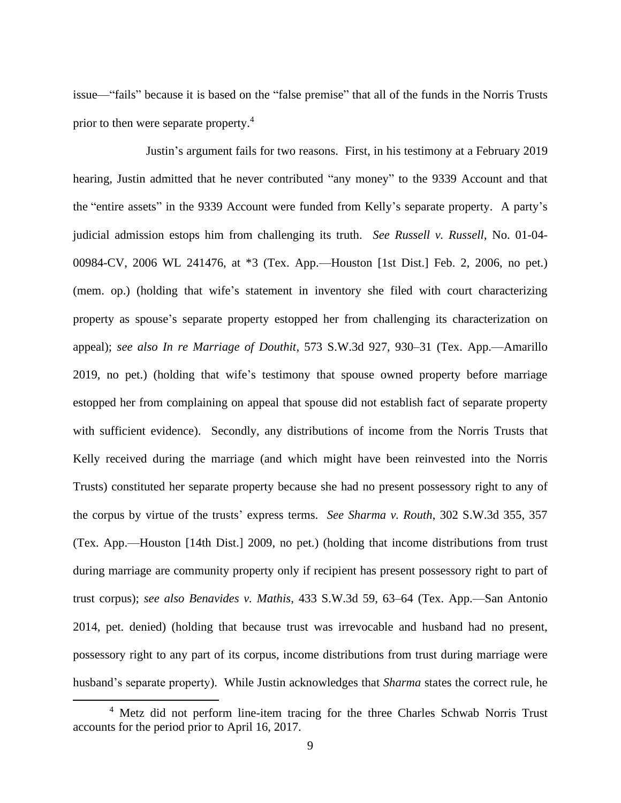issue—"fails" because it is based on the "false premise" that all of the funds in the Norris Trusts prior to then were separate property.<sup>4</sup>

Justin's argument fails for two reasons. First, in his testimony at a February 2019 hearing, Justin admitted that he never contributed "any money" to the 9339 Account and that the "entire assets" in the 9339 Account were funded from Kelly's separate property. A party's judicial admission estops him from challenging its truth. *See Russell v. Russell*, No. 01-04- 00984-CV, 2006 WL 241476, at \*3 (Tex. App.—Houston [1st Dist.] Feb. 2, 2006, no pet.) (mem. op.) (holding that wife's statement in inventory she filed with court characterizing property as spouse's separate property estopped her from challenging its characterization on appeal); *see also In re Marriage of Douthit*, 573 S.W.3d 927, 930–31 (Tex. App.—Amarillo 2019, no pet.) (holding that wife's testimony that spouse owned property before marriage estopped her from complaining on appeal that spouse did not establish fact of separate property with sufficient evidence). Secondly, any distributions of income from the Norris Trusts that Kelly received during the marriage (and which might have been reinvested into the Norris Trusts) constituted her separate property because she had no present possessory right to any of the corpus by virtue of the trusts' express terms. *See Sharma v. Routh*, 302 S.W.3d 355, 357 (Tex. App.—Houston [14th Dist.] 2009, no pet.) (holding that income distributions from trust during marriage are community property only if recipient has present possessory right to part of trust corpus); *see also Benavides v. Mathis*, 433 S.W.3d 59, 63–64 (Tex. App.—San Antonio 2014, pet. denied) (holding that because trust was irrevocable and husband had no present, possessory right to any part of its corpus, income distributions from trust during marriage were husband's separate property). While Justin acknowledges that *Sharma* states the correct rule, he

<sup>&</sup>lt;sup>4</sup> Metz did not perform line-item tracing for the three Charles Schwab Norris Trust accounts for the period prior to April 16, 2017.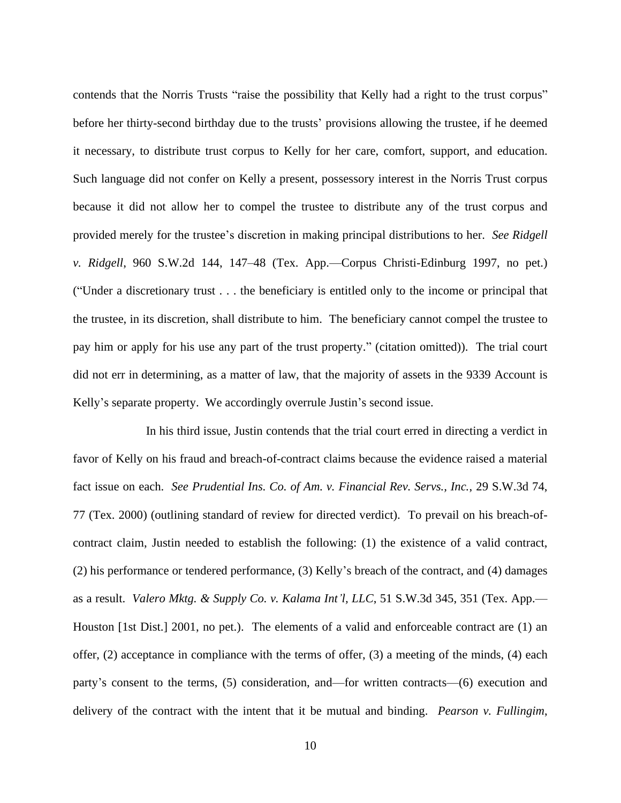contends that the Norris Trusts "raise the possibility that Kelly had a right to the trust corpus" before her thirty-second birthday due to the trusts' provisions allowing the trustee, if he deemed it necessary, to distribute trust corpus to Kelly for her care, comfort, support, and education. Such language did not confer on Kelly a present, possessory interest in the Norris Trust corpus because it did not allow her to compel the trustee to distribute any of the trust corpus and provided merely for the trustee's discretion in making principal distributions to her. *See Ridgell v. Ridgell*, 960 S.W.2d 144, 147–48 (Tex. App.—Corpus Christi-Edinburg 1997, no pet.) ("Under a discretionary trust . . . the beneficiary is entitled only to the income or principal that the trustee, in its discretion, shall distribute to him. The beneficiary cannot compel the trustee to pay him or apply for his use any part of the trust property." (citation omitted)). The trial court did not err in determining, as a matter of law, that the majority of assets in the 9339 Account is Kelly's separate property. We accordingly overrule Justin's second issue.

In his third issue, Justin contends that the trial court erred in directing a verdict in favor of Kelly on his fraud and breach-of-contract claims because the evidence raised a material fact issue on each. *See Prudential Ins. Co. of Am. v. Financial Rev. Servs., Inc.*, 29 S.W.3d 74, 77 (Tex. 2000) (outlining standard of review for directed verdict). To prevail on his breach-ofcontract claim, Justin needed to establish the following: (1) the existence of a valid contract, (2) his performance or tendered performance, (3) Kelly's breach of the contract, and (4) damages as a result. *Valero Mktg. & Supply Co. v. Kalama Int'l, LLC*, 51 S.W.3d 345, 351 (Tex. App.— Houston [1st Dist.] 2001, no pet.). The elements of a valid and enforceable contract are (1) an offer, (2) acceptance in compliance with the terms of offer, (3) a meeting of the minds, (4) each party's consent to the terms, (5) consideration, and—for written contracts—(6) execution and delivery of the contract with the intent that it be mutual and binding. *Pearson v. Fullingim*,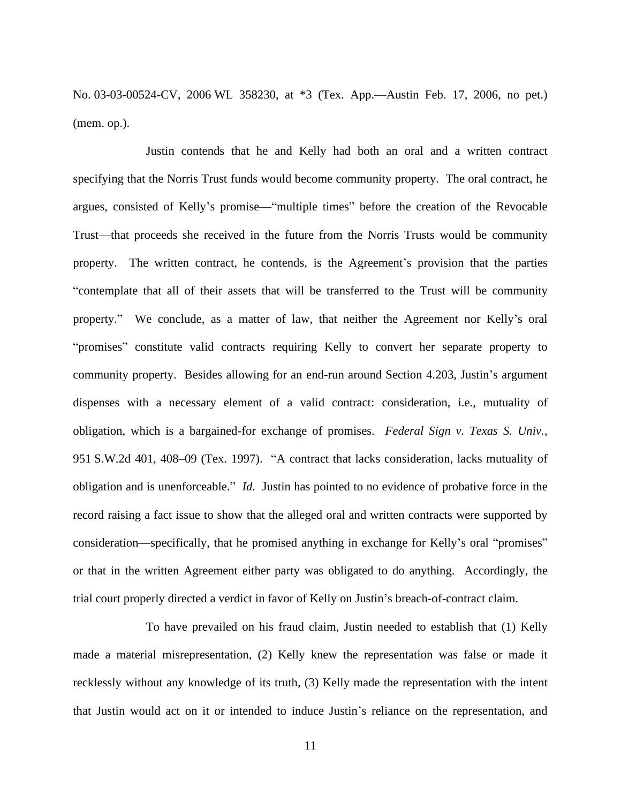No. 03-03-00524-CV, 2006 WL 358230, at \*3 (Tex. App.—Austin Feb. 17, 2006, no pet.) (mem. op.).

Justin contends that he and Kelly had both an oral and a written contract specifying that the Norris Trust funds would become community property. The oral contract, he argues, consisted of Kelly's promise—"multiple times" before the creation of the Revocable Trust—that proceeds she received in the future from the Norris Trusts would be community property. The written contract, he contends, is the Agreement's provision that the parties "contemplate that all of their assets that will be transferred to the Trust will be community property." We conclude, as a matter of law, that neither the Agreement nor Kelly's oral "promises" constitute valid contracts requiring Kelly to convert her separate property to community property. Besides allowing for an end-run around Section 4.203, Justin's argument dispenses with a necessary element of a valid contract: consideration, i.e., mutuality of obligation, which is a bargained-for exchange of promises. *Federal Sign v. Texas S. Univ.*, 951 S.W.2d 401, 408–09 (Tex. 1997). "A contract that lacks consideration, lacks mutuality of obligation and is unenforceable." *Id.* Justin has pointed to no evidence of probative force in the record raising a fact issue to show that the alleged oral and written contracts were supported by consideration—specifically, that he promised anything in exchange for Kelly's oral "promises" or that in the written Agreement either party was obligated to do anything. Accordingly, the trial court properly directed a verdict in favor of Kelly on Justin's breach-of-contract claim.

To have prevailed on his fraud claim, Justin needed to establish that (1) Kelly made a material misrepresentation, (2) Kelly knew the representation was false or made it recklessly without any knowledge of its truth, (3) Kelly made the representation with the intent that Justin would act on it or intended to induce Justin's reliance on the representation, and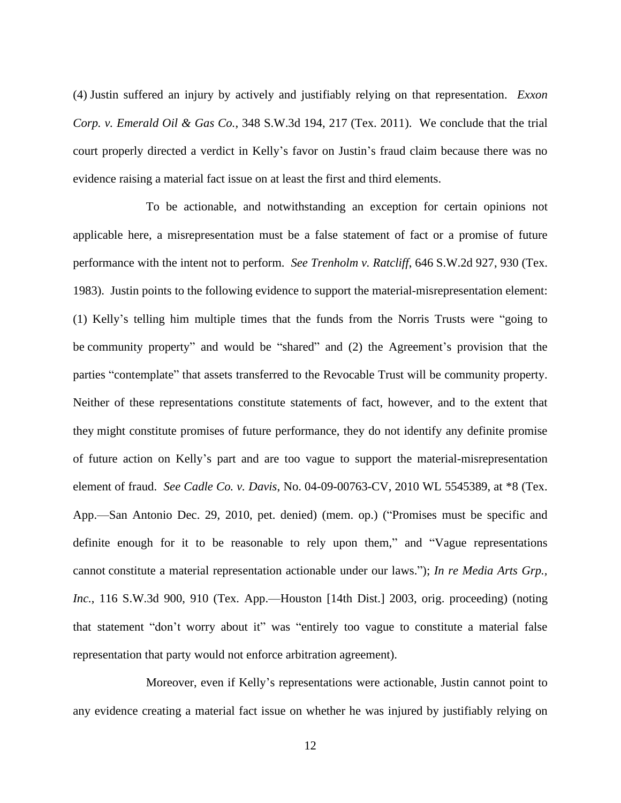(4) Justin suffered an injury by actively and justifiably relying on that representation. *Exxon Corp. v. Emerald Oil & Gas Co.*, 348 S.W.3d 194, 217 (Tex. 2011). We conclude that the trial court properly directed a verdict in Kelly's favor on Justin's fraud claim because there was no evidence raising a material fact issue on at least the first and third elements.

To be actionable, and notwithstanding an exception for certain opinions not applicable here, a misrepresentation must be a false statement of fact or a promise of future performance with the intent not to perform. *See Trenholm v. Ratcliff*, 646 S.W.2d 927, 930 (Tex. 1983). Justin points to the following evidence to support the material-misrepresentation element: (1) Kelly's telling him multiple times that the funds from the Norris Trusts were "going to be community property" and would be "shared" and (2) the Agreement's provision that the parties "contemplate" that assets transferred to the Revocable Trust will be community property. Neither of these representations constitute statements of fact, however, and to the extent that they might constitute promises of future performance, they do not identify any definite promise of future action on Kelly's part and are too vague to support the material-misrepresentation element of fraud. *See Cadle Co. v. Davis*, No. 04-09-00763-CV, 2010 WL 5545389, at \*8 (Tex. App.—San Antonio Dec. 29, 2010, pet. denied) (mem. op.) ("Promises must be specific and definite enough for it to be reasonable to rely upon them," and "Vague representations cannot constitute a material representation actionable under our laws."); *In re Media Arts Grp., Inc.*, 116 S.W.3d 900, 910 (Tex. App.—Houston [14th Dist.] 2003, orig. proceeding) (noting that statement "don't worry about it" was "entirely too vague to constitute a material false representation that party would not enforce arbitration agreement).

Moreover, even if Kelly's representations were actionable, Justin cannot point to any evidence creating a material fact issue on whether he was injured by justifiably relying on